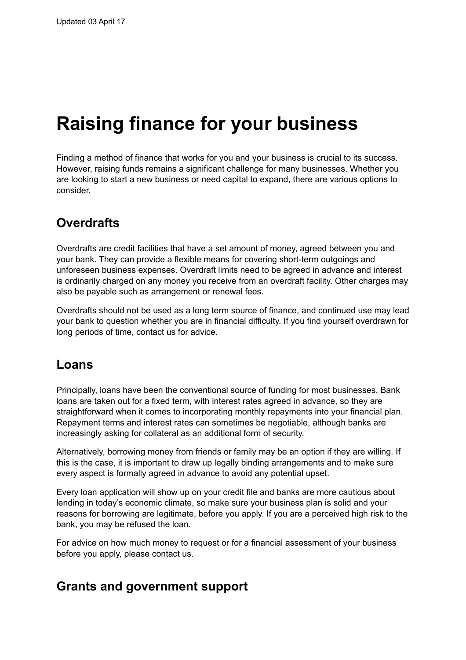# **Raising finance for your business**

Finding a method of finance that works for you and your business is crucial to its success. However, raising funds remains a significant challenge for many businesses. Whether you are looking to start a new business or need capital to expand, there are various options to consider.

## **Overdrafts**

Overdrafts are credit facilities that have a set amount of money, agreed between you and your bank. They can provide a flexible means for covering short-term outgoings and unforeseen business expenses. Overdraft limits need to be agreed in advance and interest is ordinarily charged on any money you receive from an overdraft facility. Other charges may also be payable such as arrangement or renewal fees.

Overdrafts should not be used as a long term source of finance, and continued use may lead your bank to question whether you are in financial difficulty. If you find yourself overdrawn for long periods of time, contact us for advice.

#### **Loans**

Principally, loans have been the conventional source of funding for most businesses. Bank loans are taken out for a fixed term, with interest rates agreed in advance, so they are straightforward when it comes to incorporating monthly repayments into your financial plan. Repayment terms and interest rates can sometimes be negotiable, although banks are increasingly asking for collateral as an additional form of security.

Alternatively, borrowing money from friends or family may be an option if they are willing. If this is the case, it is important to draw up legally binding arrangements and to make sure every aspect is formally agreed in advance to avoid any potential upset.

Every loan application will show up on your credit file and banks are more cautious about lending in today's economic climate, so make sure your business plan is solid and your reasons for borrowing are legitimate, before you apply. If you are a perceived high risk to the bank, you may be refused the loan.

For advice on how much money to request or for a financial assessment of your business before you apply, please contact us.

#### **Grants and government support**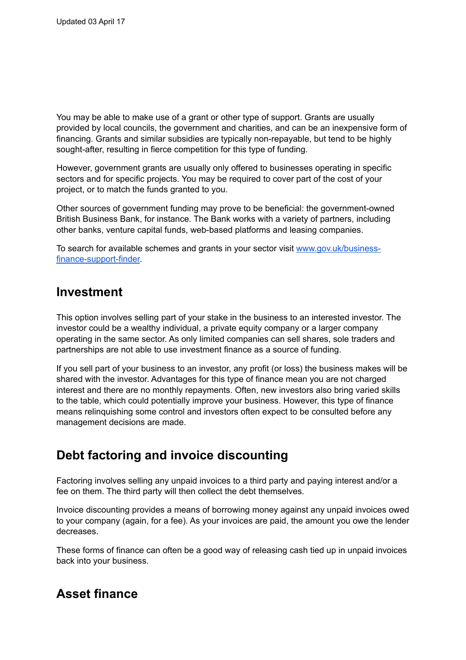You may be able to make use of a grant or other type of support. Grants are usually provided by local councils, the government and charities, and can be an inexpensive form of financing. Grants and similar subsidies are typically non-repayable, but tend to be highly sought-after, resulting in fierce competition for this type of funding.

However, government grants are usually only offered to businesses operating in specific sectors and for specific projects. You may be required to cover part of the cost of your project, or to match the funds granted to you.

Other sources of government funding may prove to be beneficial: the government-owned British Business Bank, for instance. The Bank works with a variety of partners, including other banks, venture capital funds, web-based platforms and leasing companies.

To search for available schemes and grants in your sector visit [www.gov.uk/business](http://www.gov.uk/business-finance-support-finder)[finance-support-finder.](http://www.gov.uk/business-finance-support-finder)

### **Investment**

This option involves selling part of your stake in the business to an interested investor. The investor could be a wealthy individual, a private equity company or a larger company operating in the same sector. As only limited companies can sell shares, sole traders and partnerships are not able to use investment finance as a source of funding.

If you sell part of your business to an investor, any profit (or loss) the business makes will be shared with the investor. Advantages for this type of finance mean you are not charged interest and there are no monthly repayments. Often, new investors also bring varied skills to the table, which could potentially improve your business. However, this type of finance means relinquishing some control and investors often expect to be consulted before any management decisions are made.

## **Debt factoring and invoice discounting**

Factoring involves selling any unpaid invoices to a third party and paying interest and/or a fee on them. The third party will then collect the debt themselves.

Invoice discounting provides a means of borrowing money against any unpaid invoices owed to your company (again, for a fee). As your invoices are paid, the amount you owe the lender decreases.

These forms of finance can often be a good way of releasing cash tied up in unpaid invoices back into your business.

## **Asset finance**